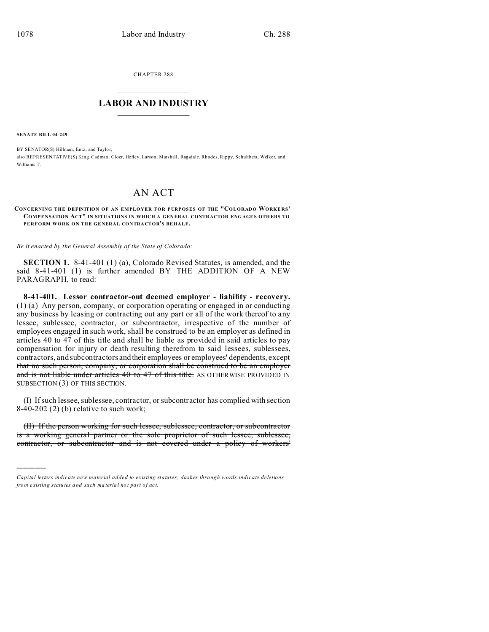CHAPTER 288  $\overline{\phantom{a}}$  , where  $\overline{\phantom{a}}$ 

## **LABOR AND INDUSTRY**  $\frac{1}{\sqrt{2}}$  ,  $\frac{1}{\sqrt{2}}$  ,  $\frac{1}{\sqrt{2}}$  ,  $\frac{1}{\sqrt{2}}$  ,  $\frac{1}{\sqrt{2}}$  ,  $\frac{1}{\sqrt{2}}$

**SENATE BILL 04-249**

)))))

BY SENATOR(S) Hillman, Entz, and Taylor; also REPRESENTATIVE(S) King, Cadman, Cloer, Hefley, Larson, Marshall, Ragsdale, Rhodes, Rippy, Schultheis, Welker, and Williams T.

## AN ACT

## **CONCERNING THE DEFINITION OF AN EMPLOYER FOR PURPOSES OF THE "COLORADO WORKE RS' COMPENSATION ACT" IN SITUATIONS IN WHICH A GEN ERAL CONTR ACTOR ENGAGES OTH ERS TO PERFORM WORK ON THE GENERAL CONTRACTOR'S BEHALF.**

*Be it enacted by the General Assembly of the State of Colorado:*

**SECTION 1.** 8-41-401 (1) (a), Colorado Revised Statutes, is amended, and the said 8-41-401 (1) is further amended BY THE ADDITION OF A NEW PARAGRAPH, to read:

**8-41-401. Lessor contractor-out deemed employer - liability - recovery.** (1) (a) Any person, company, or corporation operating or engaged in or conducting any business by leasing or contracting out any part or all of the work thereof to any lessee, sublessee, contractor, or subcontractor, irrespective of the number of employees engaged in such work, shall be construed to be an employer as defined in articles 40 to 47 of this title and shall be liable as provided in said articles to pay compensation for injury or death resulting therefrom to said lessees, sublessees, contractors, and subcontractors and their employees or employees' dependents, except that no such person, company, or corporation shall be construed to be an employer and is not liable under articles 40 to 47 of this title: AS OTHERWISE PROVIDED IN SUBSECTION (3) OF THIS SECTION.

(I) If such lessee, sublessee, contractor, or subcontractor has complied with section 8-40-202 (2) (b) relative to such work;

(II) If the person working for such lessee, sublessee, contractor, or subcontractor is a working general partner or the sole proprietor of such lessee, sublessee, contractor, or subcontractor and is not covered under a policy of workers'

*Capital letters indicate new material added to existing statutes; dashes through words indicate deletions from e xistin g statu tes a nd such ma teria l no t pa rt of ac t.*